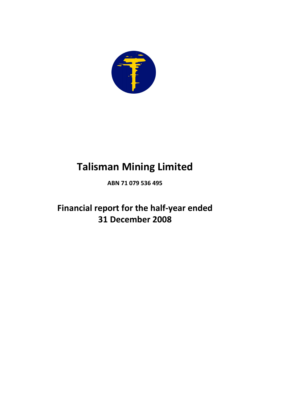

# Talisman Mining Limited

ABN 71 079 536 495

Financial report for the half-year ended 31 December 2008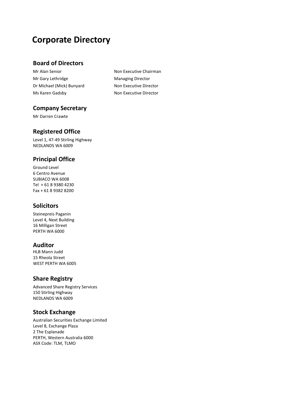# Corporate Directory

# Board of Directors

Mr Gary Lethridge Managing Director Dr Michael (Mick) Bunyard Non Executive Director Ms Karen Gadsby Non Executive Director

Mr Alan Senior Non Executive Chairman

## Company Secretary

Mr Darren Crawte

## Registered Office

Level 1, 47-49 Stirling Highway NEDLANDS WA 6009

## Principal Office

Ground Level 6 Centro Avenue SUBIACO WA 6008 Tel + 61 8 9380 4230 Fax + 61 8 9382 8200

# **Solicitors**

Steinepreis Paganin Level 4, Next Building 16 Milligan Street PERTH WA 6000

## Auditor

HLB Mann Judd 15 Rheola Street WEST PERTH WA 6005

# Share Registry

Advanced Share Registry Services 150 Stirling Highway NEDLANDS WA 6009

# Stock Exchange

Australian Securities Exchange Limited Level 8, Exchange Plaza 2 The Esplanade PERTH, Western Australia 6000 ASX Code: TLM, TLMO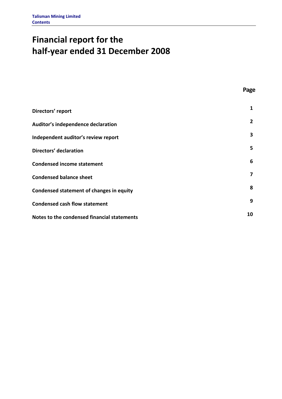# Financial report for the half-year ended 31 December 2008

| Directors' report                           | 1              |
|---------------------------------------------|----------------|
| Auditor's independence declaration          | $\overline{2}$ |
| Independent auditor's review report         | 3              |
| Directors' declaration                      | 5              |
| <b>Condensed income statement</b>           | 6              |
| <b>Condensed balance sheet</b>              | $\overline{ }$ |
| Condensed statement of changes in equity    | 8              |
| <b>Condensed cash flow statement</b>        | 9              |
| Notes to the condensed financial statements | 10             |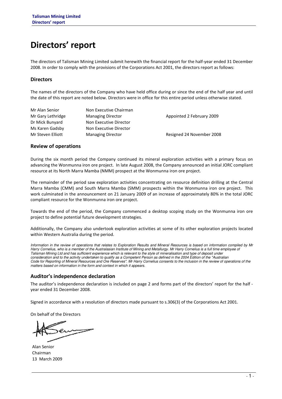# Directors' report

The directors of Talisman Mining Limited submit herewith the financial report for the half-year ended 31 December 2008. In order to comply with the provisions of the Corporations Act 2001, the directors report as follows:

### **Directors**

The names of the directors of the Company who have held office during or since the end of the half year and until the date of this report are noted below. Directors were in office for this entire period unless otherwise stated.

| Mr Alan Senior    | Non Executive Chairman   |                           |
|-------------------|--------------------------|---------------------------|
| Mr Gary Lethridge | <b>Managing Director</b> | Appointed 2 February 2009 |
| Dr Mick Bunyard   | Non Executive Director   |                           |
| Ms Karen Gadsby   | Non Executive Director   |                           |
| Mr Steven Elliott | <b>Managing Director</b> | Resigned 24 November 2008 |

### Review of operations

During the six month period the Company continued its mineral exploration activities with a primary focus on advancing the Wonmunna iron ore project. In late August 2008, the Company announced an initial JORC compliant resource at its North Marra Mamba (NMM) prospect at the Wonmunna iron ore project.

The remainder of the period saw exploration activities concentrating on resource definition drilling at the Central Marra Mamba (CMM) and South Marra Mamba (SMM) prospects within the Wonmunna iron ore project. This work culminated in the announcement on 21 January 2009 of an increase of approximately 80% in the total JORC compliant resource for the Wonmunna iron ore project.

Towards the end of the period, the Company commenced a desktop scoping study on the Wonmunna iron ore project to define potential future development strategies.

Additionally, the Company also undertook exploration activities at some of its other exploration projects located within Western Australia during the period.

Information in the review of operations that relates to Exploration Results and Mineral Resources is based on information compiled by Mr Harry Cornelius, who is a member of the Australasian Institute of Mining and Metallurgy. Mr Harry Cornelius is a full time employee of Talisman Mining Ltd and has sufficient experience which is relevant to the style of mineralisation and type of deposit under consideration and to the activity undertaken to qualify as a Competent Person as defined in the 2004 Edition of the "Australian Code for Reporting of Mineral Resources and Ore Reserves". Mr Harry Cornelius consents to the inclusion in the review of operations of the matters based on information in the form and context in which it appears.

### Auditor's independence declaration

The auditor's independence declaration is included on page 2 and forms part of the directors' report for the half year ended 31 December 2008.

Signed in accordance with a resolution of directors made pursuant to s.306(3) of the Corporations Act 2001.

On behalf of the Directors

Alan Senior Chairman 13 March 2009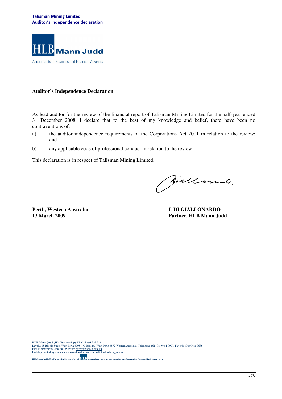

### **Auditor's Independence Declaration**

As lead auditor for the review of the financial report of Talisman Mining Limited for the half-year ended 31 December 2008, I declare that to the best of my knowledge and belief, there have been no contraventions of:

- a) the auditor independence requirements of the Corporations Act 2001 in relation to the review; and
- b) any applicable code of professional conduct in relation to the review.

This declaration is in respect of Talisman Mining Limited.

Aiallonnes.

Perth, Western Australia **L DI GIALLONARDO** 

**13 March 2009 Partner, HLB Mann Judd**

**HLB Mann Judd (WA Partnership) ABN 22 193 232 714**<br>Level 2 15 Rheola Street West Perth 6005 PO Box 263 West Perth 6872 Western Australia. Telephone +61 (08) 9481 0977. Fax +61 (08) 9481 3686.<br>Email: hlb@hlbwa.com.au. Webs

**HLB Mann Judd (WA Partnership) is a member of**  $\frac{H\text{LB}}{H\text{J}}$  **International, a world-wide organisation of accounting firms and business advisers**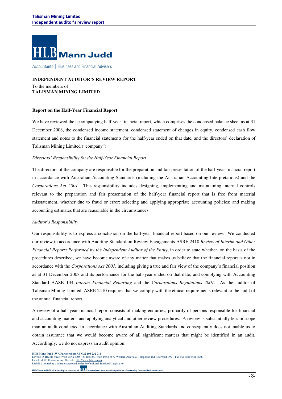

Accountants | Business and Financial Advisers

#### **INDEPENDENT AUDITOR'S REVIEW REPORT**

To the members of **TALISMAN MINING LIMITED** 

#### **Report on the Half-Year Financial Report**

We have reviewed the accompanying half-year financial report, which comprises the condensed balance sheet as at 31 December 2008, the condensed income statement, condensed statement of changes in equity, condensed cash flow statement and notes to the financial statements for the half-year ended on that date, and the directors' declaration of Talisman Mining Limited ("company").

#### *Directors' Responsibility for the Half-Year Financial Report*

The directors of the company are responsible for the preparation and fair presentation of the half-year financial report in accordance with Australian Accounting Standards (including the Australian Accounting Interpretations) and the *Corporations Act 2001*. This responsibility includes designing, implementing and maintaining internal controls relevant to the preparation and fair presentation of the half-year financial report that is free from material misstatement, whether due to fraud or error; selecting and applying appropriate accounting policies; and making accounting estimates that are reasonable in the circumstances.

#### *Auditor's Responsibility*

Our responsibility is to express a conclusion on the half-year financial report based on our review. We conducted our review in accordance with Auditing Standard on Review Engagements ASRE 2410 *Review of Interim and Other Financial Reports Performed by the Independent Auditor of the Entity*, in order to state whether, on the basis of the procedures described, we have become aware of any matter that makes us believe that the financial report is not in accordance with the *Corporations Act 2001*, including giving a true and fair view of the company's financial position as at 31 December 2008 and its performance for the half-year ended on that date; and complying with Accounting Standard AASB 134 *Interim Financial Reporting* and the *Corporations Regulations 2001.* As the auditor of Talisman Mining Limited, ASRE 2410 requires that we comply with the ethical requirements relevant to the audit of the annual financial report.

A review of a half-year financial report consists of making enquiries, primarily of persons responsible for financial and accounting matters, and applying analytical and other review procedures. A review is substantially less in scope than an audit conducted in accordance with Australian Auditing Standards and consequently does not enable us to obtain assurance that we would become aware of all significant matters that might be identified in an audit. Accordingly, we do not express an audit opinion.

**HLB Mann Judd (WA Partnership) ABN 22 193 232 714** 

Level 2 15 Rheola Street West Perth 6005 PO Box 263 West Perth 6872 Western Australia. Telephone +61 (08) 9481 0977. Fax +61 (08) 9481 3686. Email: hlb@hlbwa.com.au. Website: http://www.hlb.com.au Liability limited by a scheme approved under Professional Standards Legislation

**HLB Mann Judd (WA Partnership) is a member of International, a world-wide organisation of accounting firms and business advisers**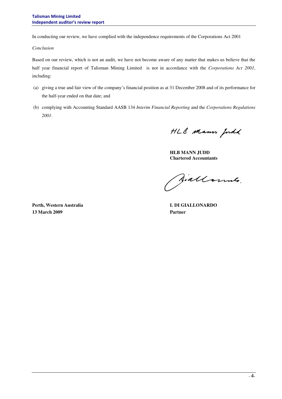In conducting our review, we have complied with the independence requirements of the Corporations Act 2001

#### *Conclusion*

Based on our review, which is not an audit, we have not become aware of any matter that makes us believe that the half year financial report of Talisman Mining Limited is not in accordance with the *Corporations Act 2001*, including:

- (a) giving a true and fair view of the company's financial position as at 31 December 2008 and of its performance for the half-year ended on that date; and
- (b) complying with Accounting Standard AASB 134 *Interim Financial Reporting* and the *Corporations Regulations 2001*.

HLB Mann Judd

**HLB MANN JUDD Chartered Accountants** 

Aiallonnes.

**Perth, Western Australia L DI GIALLONARDO 13 March 2009 Partner**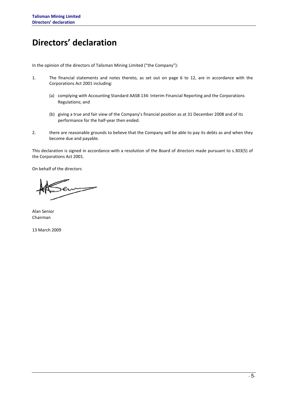# Directors' declaration

In the opinion of the directors of Talisman Mining Limited ("the Company"):

- 1. The financial statements and notes thereto, as set out on page 6 to 12, are in accordance with the Corporations Act 2001 including:
	- (a) complying with Accounting Standard AASB 134: Interim Financial Reporting and the Corporations Regulations; and
	- (b) giving a true and fair view of the Company's financial position as at 31 December 2008 and of its performance for the half-year then ended.
- 2. there are reasonable grounds to believe that the Company will be able to pay its debts as and when they become due and payable.

This declaration is signed in accordance with a resolution of the Board of directors made pursuant to s.303(5) of the Corporations Act 2001.

On behalf of the directors

Alan Senior Chairman

13 March 2009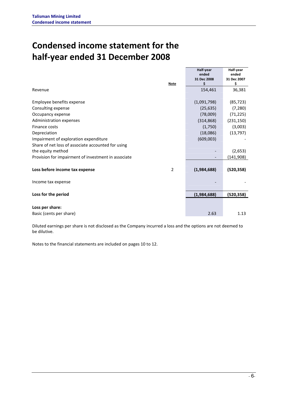# Condensed income statement for the half-year ended 31 December 2008

| <b>Note</b>                                         | nan-year<br>ended<br>31 Dec 2008<br>\$ | nan-year<br>ended<br>31 Dec 2007<br>\$ |
|-----------------------------------------------------|----------------------------------------|----------------------------------------|
| Revenue                                             | 154,461                                | 36,381                                 |
|                                                     |                                        |                                        |
| Employee benefits expense                           | (1,091,798)                            | (85, 723)                              |
| Consulting expense                                  | (25, 635)                              | (7, 280)                               |
| Occupancy expense                                   | (78,009)                               | (71, 225)                              |
| Administration expenses                             | (314, 868)                             | (231, 150)                             |
| Finance costs                                       | (1,750)                                | (3,003)                                |
| Depreciation                                        | (18,086)                               | (13, 797)                              |
| Impairment of exploration expenditure               | (609,003)                              |                                        |
| Share of net loss of associate accounted for using  |                                        |                                        |
| the equity method                                   |                                        | (2,653)                                |
| Provision for impairment of investment in associate |                                        | (141, 908)                             |
|                                                     |                                        |                                        |
| 2<br>Loss before income tax expense                 | (1,984,688)                            | (520, 358)                             |
| Income tax expense                                  |                                        |                                        |
| Loss for the period                                 | (1,984,688)                            | (520, 358)                             |
|                                                     |                                        |                                        |
| Loss per share:                                     |                                        |                                        |
| Basic (cents per share)                             | 2.63                                   | 1.13                                   |

Half-year

 $\overline{\cdots}$ 

Diluted earnings per share is not disclosed as the Company incurred a loss and the options are not deemed to be dilutive.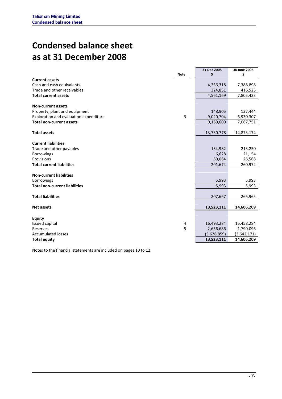# Condensed balance sheet as at 31 December 2008

|                                        |             | 31 Dec 2008 | 30 June 2008 |
|----------------------------------------|-------------|-------------|--------------|
|                                        | <b>Note</b> | Ś           | \$           |
| <b>Current assets</b>                  |             |             |              |
| Cash and cash equivalents              |             | 4,236,318   | 7,388,898    |
| Trade and other receivables            |             | 324,851     | 416,525      |
| <b>Total current assets</b>            |             | 4,561,169   | 7,805,423    |
|                                        |             |             |              |
| <b>Non-current assets</b>              |             |             |              |
| Property, plant and equipment          |             | 148,905     | 137,444      |
| Exploration and evaluation expenditure | 3           | 9,020,704   | 6,930,307    |
| <b>Total non-current assets</b>        |             | 9,169,609   | 7,067,751    |
|                                        |             |             |              |
| <b>Total assets</b>                    |             | 13,730,778  | 14,873,174   |
|                                        |             |             |              |
| <b>Current liabilities</b>             |             |             |              |
| Trade and other payables               |             | 134,982     | 213,250      |
| <b>Borrowings</b>                      |             | 6,628       | 21,154       |
| Provisions                             |             | 60,064      | 26,568       |
| <b>Total current liabilities</b>       |             | 201,674     | 260,972      |
|                                        |             |             |              |
| <b>Non-current liabilities</b>         |             |             |              |
| <b>Borrowings</b>                      |             | 5,993       | 5,993        |
| <b>Total non-current liabilities</b>   |             | 5,993       | 5,993        |
|                                        |             |             |              |
| <b>Total liabilities</b>               |             | 207,667     | 266,965      |
|                                        |             |             |              |
| <b>Net assets</b>                      |             | 13,523,111  | 14,606,209   |
|                                        |             |             |              |
| <b>Equity</b>                          |             |             |              |
| Issued capital                         | 4           | 16,493,284  | 16,458,284   |
| Reserves                               | 5           | 2,656,686   | 1,790,096    |
| <b>Accumulated losses</b>              |             | (5,626,859) | (3,642,171)  |
| <b>Total equity</b>                    |             | 13,523,111  | 14,606,209   |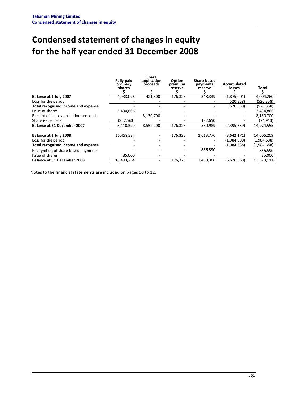# Condensed statement of changes in equity for the half year ended 31 December 2008

|                                       | <b>Fully paid</b><br>ordinary<br>shares | <b>Share</b><br>application<br>proceeds | <b>Option</b><br>premium<br>reserve | <b>Share-based</b><br>payments<br>reserve | Accumulated<br>losses | Total       |
|---------------------------------------|-----------------------------------------|-----------------------------------------|-------------------------------------|-------------------------------------------|-----------------------|-------------|
| Balance at 1 July 2007                | 4,933,096                               | 421,500                                 | 176,326                             | 348,339                                   | (1,875,001)           | 4,004,260   |
| Loss for the period                   |                                         |                                         |                                     |                                           | (520,358)             | (520, 358)  |
| Total recognised income and expense   |                                         |                                         |                                     |                                           | (520, 358)            | (520, 358)  |
| Issue of shares                       | 3,434,866                               |                                         |                                     |                                           |                       | 3,434,866   |
| Receipt of share application proceeds |                                         | 8,130,700                               |                                     |                                           |                       | 8,130,700   |
| Share issue costs                     | (257,563)                               |                                         |                                     | 182,650                                   |                       | (74, 913)   |
| <b>Balance at 31 December 2007</b>    | 8,110,399                               | 8,552,200                               | 176,326                             | 530,989                                   | (2,395,359)           | 14,974,555  |
| Balance at 1 July 2008                | 16,458,284                              |                                         | 176,326                             | 1,613,770                                 | (3,642,171)           | 14,606,209  |
| Loss for the period                   |                                         |                                         |                                     |                                           | (1,984,688)           | (1,984,688) |
| Total recognised income and expense   |                                         |                                         |                                     |                                           | (1,984,688)           | (1,984,688) |
| Recognition of share-based payments   |                                         |                                         |                                     | 866,590                                   |                       | 866,590     |
| Issue of shares                       | 35,000                                  |                                         |                                     |                                           |                       | 35,000      |
| <b>Balance at 31 December 2008</b>    | 16,493,284                              | ۰                                       | 176,326                             | 2,480,360                                 | (5,626,859)           | 13,523,111  |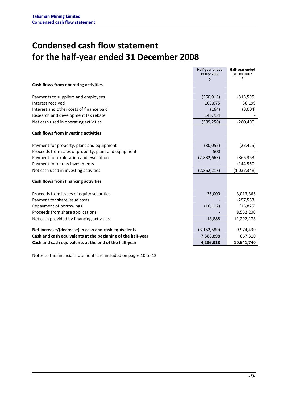# Condensed cash flow statement for the half-year ended 31 December 2008

|                                                             | Half-year ended<br>31 Dec 2008 | Half-year ended<br>31 Dec 2007 |
|-------------------------------------------------------------|--------------------------------|--------------------------------|
|                                                             | \$                             | \$                             |
| Cash flows from operating activities                        |                                |                                |
| Payments to suppliers and employees                         | (560, 915)                     | (313,595)                      |
| Interest received                                           | 105,075                        | 36,199                         |
| Interest and other costs of finance paid                    | (164)                          | (3,004)                        |
| Research and development tax rebate                         | 146,754                        |                                |
| Net cash used in operating activities                       | (309, 250)                     | (280, 400)                     |
| Cash flows from investing activities                        |                                |                                |
| Payment for property, plant and equipment                   | (30,055)                       | (27, 425)                      |
| Proceeds from sales of property, plant and equipment        | 500                            |                                |
| Payment for exploration and evaluation                      | (2,832,663)                    | (865, 363)                     |
| Payment for equity investments                              |                                | (144, 560)                     |
| Net cash used in investing activities                       | (2,862,218)                    | (1,037,348)                    |
| Cash flows from financing activities                        |                                |                                |
| Proceeds from issues of equity securities                   | 35,000                         | 3,013,366                      |
| Payment for share issue costs                               |                                | (257, 563)                     |
| Repayment of borrowings                                     | (16, 112)                      | (15, 825)                      |
| Proceeds from share applications                            |                                | 8,552,200                      |
| Net cash provided by financing activities                   | 18,888                         | 11,292,178                     |
| Net increase/(decrease) in cash and cash equivalents        | (3, 152, 580)                  | 9,974,430                      |
| Cash and cash equivalents at the beginning of the half-year | 7,388,898                      | 667,310                        |
| Cash and cash equivalents at the end of the half-year       | 4,236,318                      | 10,641,740                     |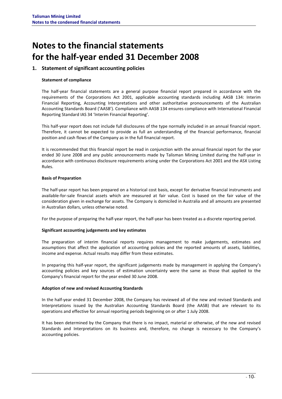# Notes to the financial statements for the half-year ended 31 December 2008

## 1. Statement of significant accounting policies

### Statement of compliance

The half-year financial statements are a general purpose financial report prepared in accordance with the requirements of the Corporations Act 2001, applicable accounting standards including AASB 134: Interim Financial Reporting, Accounting Interpretations and other authoritative pronouncements of the Australian Accounting Standards Board ('AASB'). Compliance with AASB 134 ensures compliance with International Financial Reporting Standard IAS 34 'Interim Financial Reporting'.

This half-year report does not include full disclosures of the type normally included in an annual financial report. Therefore, it cannot be expected to provide as full an understanding of the financial performance, financial position and cash flows of the Company as in the full financial report.

It is recommended that this financial report be read in conjunction with the annual financial report for the year ended 30 June 2008 and any public announcements made by Talisman Mining Limited during the half-year in accordance with continuous disclosure requirements arising under the Corporations Act 2001 and the ASX Listing Rules.

### Basis of Preparation

The half-year report has been prepared on a historical cost basis, except for derivative financial instruments and available-for-sale financial assets which are measured at fair value. Cost is based on the fair value of the consideration given in exchange for assets. The Company is domiciled in Australia and all amounts are presented in Australian dollars, unless otherwise noted.

For the purpose of preparing the half-year report, the half-year has been treated as a discrete reporting period.

### Significant accounting judgements and key estimates

The preparation of interim financial reports requires management to make judgements, estimates and assumptions that affect the application of accounting policies and the reported amounts of assets, liabilities, income and expense. Actual results may differ from these estimates.

In preparing this half-year report, the significant judgements made by management in applying the Company's accounting policies and key sources of estimation uncertainty were the same as those that applied to the Company's financial report for the year ended 30 June 2008.

### Adoption of new and revised Accounting Standards

In the half-year ended 31 December 2008, the Company has reviewed all of the new and revised Standards and Interpretations issued by the Australian Accounting Standards Board (the AASB) that are relevant to its operations and effective for annual reporting periods beginning on or after 1 July 2008.

It has been determined by the Company that there is no impact, material or otherwise, of the new and revised Standards and Interpretations on its business and, therefore, no change is necessary to the Company's accounting policies.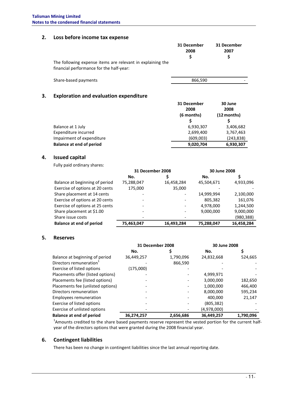## 2. Loss before income tax expense

|                                                            | 31 December | 31 December |
|------------------------------------------------------------|-------------|-------------|
|                                                            | 2008        | 2007        |
|                                                            |             |             |
| The following expense items are relevant in explaining the |             |             |
| financial performance for the half-year:                   |             |             |
|                                                            |             |             |

Share-based payments and the state of the state of the state of the state of the state of the state of the state of the state of the state of the state of the state of the state of the state of the state of the state of th

## 3. Exploration and evaluation expenditure

|                           | 31 December<br>2008<br>(6 months) | 30 June<br>2008<br>(12 months) |
|---------------------------|-----------------------------------|--------------------------------|
|                           |                                   |                                |
| Balance at 1 July         | 6,930,307                         | 3,406,682                      |
| Expenditure incurred      | 2,699,400                         | 3,767,463                      |
| Impairment of expenditure | (609,003)                         | (243, 838)                     |
| Balance at end of period  | 9,020,704                         | 6,930,307                      |

### 4. Issued capital

Fully paid ordinary shares:

|                                 | 31 December 2008 |                          | 30 June 2008 |            |
|---------------------------------|------------------|--------------------------|--------------|------------|
|                                 | No.              |                          | No.          |            |
| Balance at beginning of period  | 75,288,047       | 16,458,284               | 45,504,671   | 4,933,096  |
| Exercise of options at 20 cents | 175,000          | 35,000                   |              |            |
| Share placement at 14 cents     |                  |                          | 14,999,994   | 2,100,000  |
| Exercise of options at 20 cents |                  |                          | 805,382      | 161,076    |
| Exercise of options at 25 cents |                  | $\overline{\phantom{a}}$ | 4,978,000    | 1,244,500  |
| Share placement at \$1.00       |                  | $\overline{\phantom{a}}$ | 9,000,000    | 9,000,000  |
| Share issue costs               |                  |                          |              | (980, 388) |
| <b>Balance at end of period</b> | 75,463,047       | 16,493,284               | 75,288,047   | 16,458,284 |

### 5. Reserves

|                                     | 31 December 2008 |           | 30 June 2008 |           |
|-------------------------------------|------------------|-----------|--------------|-----------|
|                                     | No.              |           | No.          |           |
| Balance at beginning of period      | 36,449,257       | 1,790,096 | 24,832,668   | 524,665   |
| Directors remuneration <sup>1</sup> |                  | 866,590   |              |           |
| Exercise of listed options          | (175,000)        |           |              |           |
| Placements offer (listed options)   |                  |           | 4,999,971    |           |
| Placements fee (listed options)     |                  |           | 3,000,000    | 182,650   |
| Placements fee (unlisted options)   |                  |           | 1,000,000    | 466,400   |
| Directors remuneration              |                  |           | 8,000,000    | 595,234   |
| Employees remuneration              |                  |           | 400,000      | 21.147    |
| Exercise of listed options          |                  |           | (805, 382)   |           |
| Exercise of unlisted options        |                  |           | (4,978,000)  |           |
| <b>Balance at end of period</b>     | 36,274,257       | 2,656,686 | 36,449,257   | 1,790,096 |

<sup>1</sup> Amounts credited to the share based payments reserve represent the vested portion for the current halfyear of the directors options that were granted during the 2008 financial year.

## 6. Contingent liabilities

There has been no change in contingent liabilities since the last annual reporting date.